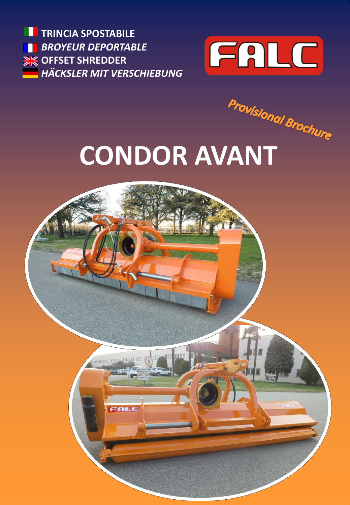M **TRINCIA SPOSTABILE** *BROYEUR DEPORTABLE* H **EXAMPLE SHREDDER** *HÄCKSLER MIT VERSCHIEBUNG*



**CONDOR AVANT**